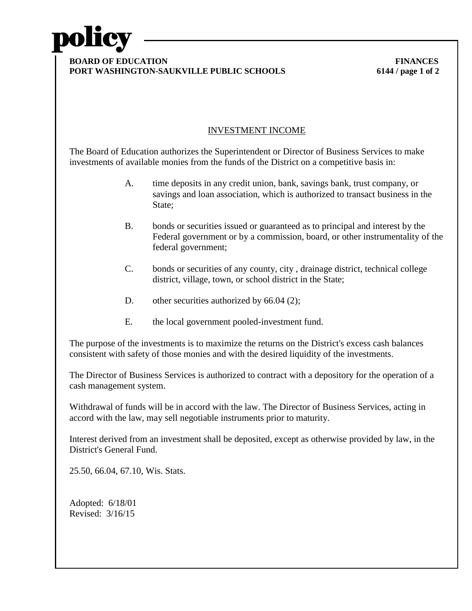

## **BOARD OF EDUCATION** FINANCES **PORT WASHINGTON-SAUKVILLE PUBLIC SCHOOLS 6144 / page 1 of 2**

## INVESTMENT INCOME

The Board of Education authorizes the Superintendent or Director of Business Services to make investments of available monies from the funds of the District on a competitive basis in:

- A. time deposits in any credit union, bank, savings bank, trust company, or savings and loan association, which is authorized to transact business in the State:
- B. bonds or securities issued or guaranteed as to principal and interest by the Federal government or by a commission, board, or other instrumentality of the federal government;
- C. bonds or securities of any county, city , drainage district, technical college district, village, town, or school district in the State;
- D. other securities authorized by 66.04 (2);
- E. the local government pooled-investment fund.

The purpose of the investments is to maximize the returns on the District's excess cash balances consistent with safety of those monies and with the desired liquidity of the investments.

The Director of Business Services is authorized to contract with a depository for the operation of a cash management system.

Withdrawal of funds will be in accord with the law. The Director of Business Services, acting in accord with the law, may sell negotiable instruments prior to maturity.

Interest derived from an investment shall be deposited, except as otherwise provided by law, in the District's General Fund.

25.50, 66.04, 67.10, Wis. Stats.

Adopted: 6/18/01 Revised: 3/16/15